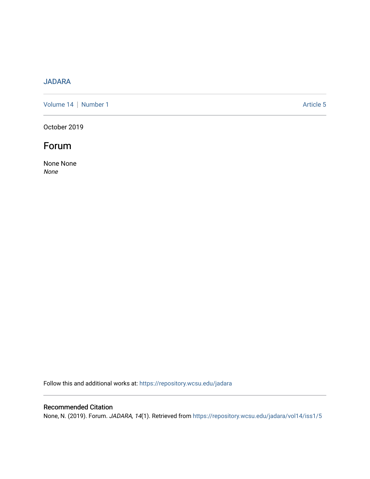## [JADARA](https://repository.wcsu.edu/jadara)

[Volume 14](https://repository.wcsu.edu/jadara/vol14) | [Number 1](https://repository.wcsu.edu/jadara/vol14/iss1) Article 5

October 2019

## Forum

None None None

Follow this and additional works at: [https://repository.wcsu.edu/jadara](https://repository.wcsu.edu/jadara?utm_source=repository.wcsu.edu%2Fjadara%2Fvol14%2Fiss1%2F5&utm_medium=PDF&utm_campaign=PDFCoverPages)

### Recommended Citation

None, N. (2019). Forum. JADARA, 14(1). Retrieved from [https://repository.wcsu.edu/jadara/vol14/iss1/5](https://repository.wcsu.edu/jadara/vol14/iss1/5?utm_source=repository.wcsu.edu%2Fjadara%2Fvol14%2Fiss1%2F5&utm_medium=PDF&utm_campaign=PDFCoverPages)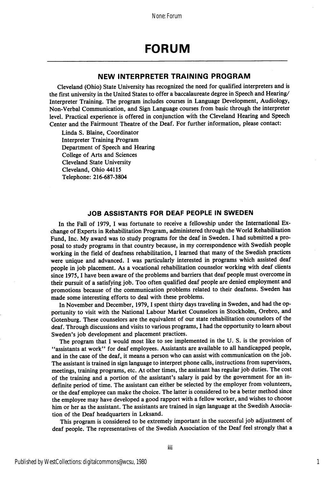# FORUM

### NEW INTERPRETER TRAINING PROGRAM

Cleveland (Ohio) State University has recognized the need for qualified interpreters and is the first university in the United States to offer a baccalaureate degree in Speech and Hearing/ Interpreter Training. The program includes courses in Language Development, Audiology, Non-Verbal Communication, and Sign Language courses from basic through the interpreter level. Practical experience is offered in conjunction with the Cleveland Hearing and Speech Center and the Fairmount Theatre of the Deaf. For further information, please contact:

Linda S. Elaine, Coordinator Interpreter Training Program Department of Speech and Hearing College of Arts and Sciences Cleveland State University Cleveland, Ohio 44115 Telephone: 216-687-3804

#### JOB ASSISTANTS FOR DEAF PEOPLE IN SWEDEN

In the Fall of 1979, I was fortunate to receive a fellowship under the International Ex change of Experts in Rehabilitation Program, administered through the World Rehabilitation Fund, Inc. My award was to study programs for the deaf in Sweden. I had submitted a pro posal to study programs in that country because, in my correspondence with Swedish people working in the field of deafness rehabilitation, I learned that many of the Swedish practices were unique and advanced. I was particularly interested in programs which assisted deaf people in job placement. As a vocational rehabilitation counselor working with deaf clients since 1975, 1 have been aware of the problems and barriers that deaf people must overcome in their pursuit of a satisfying job. Too often qualified deaf people are denied employment and promotions because of the communication problems related to their deafness. Sweden has made some interesting efforts to deal with these problems.

In November and December, 1979, I spent thirty days traveling in Sweden, and had the opportunity to visit with the National Labour Market Counselors in Stockholm, Orebro, and Gotenburg. These counselors are the equivalent of our state rehabilitation counselors of the deaf. Through discussions and visits to various programs, I had the opportunity to learn about Sweden's job development and placement practices.

The program that I would most like to see implemented in the U. S. is the provision of ^'assistants at work" for deaf employees. Assistants are available to all handicapped people, and in the case of the deaf, it means a person who can assist with communication on the job. The assistant is trained in sign language to interpret phone calls, instructions from supervisors, meetings, training programs, etc. At other times, the assistant has regular job duties. The cost of the training and a portion of the assistant's salary is paid by the government for an in definite period of time. The assistant can either be selected by the employer from volunteers, or the deaf employee can make the choice. The latter is considered to be a better method since the employee may have developed a good rapport with a fellow worker, and wishes to choose him or her as the assistant. The assistants are trained in sign language at the Swedish Associa tion of the Deaf headquarters in Leksand.

This program is considered to be extremely important in the successful job adjustment of deaf people. The representatives of the Swedish Association of the Deaf feel strongly that a